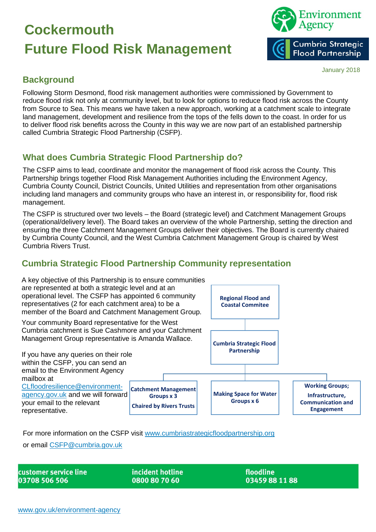

January 2018

### **Background**

Following Storm Desmond, flood risk management authorities were commissioned by Government to reduce flood risk not only at community level, but to look for options to reduce flood risk across the County from Source to Sea. This means we have taken a new approach, working at a catchment scale to integrate land management, development and resilience from the tops of the fells down to the coast. In order for us to deliver flood risk benefits across the County in this way we are now part of an established partnership called Cumbria Strategic Flood Partnership (CSFP).

### **What does Cumbria Strategic Flood Partnership do?**

The CSFP aims to lead, coordinate and monitor the management of flood risk across the County. This Partnership brings together Flood Risk Management Authorities including the Environment Agency, Cumbria County Council, District Councils, United Utilities and representation from other organisations including land managers and community groups who have an interest in, or responsibility for, flood risk management.

The CSFP is structured over two levels – the Board (strategic level) and Catchment Management Groups (operational/delivery level). The Board takes an overview of the whole Partnership, setting the direction and ensuring the three Catchment Management Groups deliver their objectives. The Board is currently chaired by Cumbria County Council, and the West Cumbria Catchment Management Group is chaired by West Cumbria Rivers Trust.

### **Cumbria Strategic Flood Partnership Community representation**



For more information on the CSFP visit [www.cumbriastrategicfloodpartnership.org](http://www.cumbriastrategicfloodpartnership.org/)

or email [CSFP@cumbria.gov.uk](mailto:CSFP@cumbria.gov.uk)

customer service line 03708 506 506

incident hotline 0800 80 70 60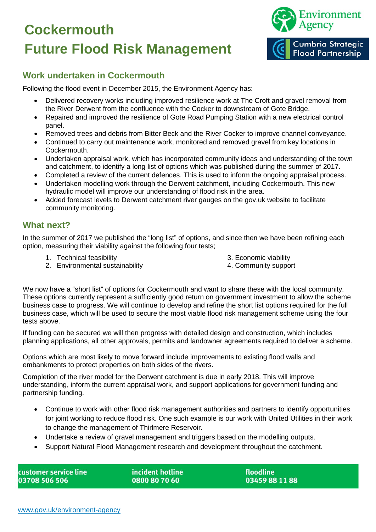

#### **Work undertaken in Cockermouth**

Following the flood event in December 2015, the Environment Agency has:

- Delivered recovery works including improved resilience work at The Croft and gravel removal from the River Derwent from the confluence with the Cocker to downstream of Gote Bridge.
- Repaired and improved the resilience of Gote Road Pumping Station with a new electrical control panel.
- Removed trees and debris from Bitter Beck and the River Cocker to improve channel conveyance.
- Continued to carry out maintenance work, monitored and removed gravel from key locations in Cockermouth.
- Undertaken appraisal work, which has incorporated community ideas and understanding of the town and catchment, to identify a long list of options which was published during the summer of 2017.
- Completed a review of the current defences. This is used to inform the ongoing appraisal process.
- Undertaken modelling work through the Derwent catchment, including Cockermouth. This new hydraulic model will improve our understanding of flood risk in the area.
- Added forecast levels to Derwent catchment river gauges on the gov.uk website to facilitate community monitoring.

#### **What next?**

In the summer of 2017 we published the "long list" of options, and since then we have been refining each option, measuring their viability against the following four tests;

- 1. Technical feasibility **3. Example 1. Technical feasibility**
- 2. Environmental sustainability and the state of 4. Community support
- 
- 

We now have a "short list" of options for Cockermouth and want to share these with the local community. These options currently represent a sufficiently good return on government investment to allow the scheme business case to progress. We will continue to develop and refine the short list options required for the full business case, which will be used to secure the most viable flood risk management scheme using the four tests above.

If funding can be secured we will then progress with detailed design and construction, which includes planning applications, all other approvals, permits and landowner agreements required to deliver a scheme.

Options which are most likely to move forward include improvements to existing flood walls and embankments to protect properties on both sides of the rivers.

Completion of the river model for the Derwent catchment is due in early 2018. This will improve understanding, inform the current appraisal work, and support applications for government funding and partnership funding.

- Continue to work with other flood risk management authorities and partners to identify opportunities for joint working to reduce flood risk. One such example is our work with United Utilities in their work to change the management of Thirlmere Reservoir.
- Undertake a review of gravel management and triggers based on the modelling outputs.
- Support Natural Flood Management research and development throughout the catchment.

customer service line 03708 506 506

incident hotline 0800 80 70 60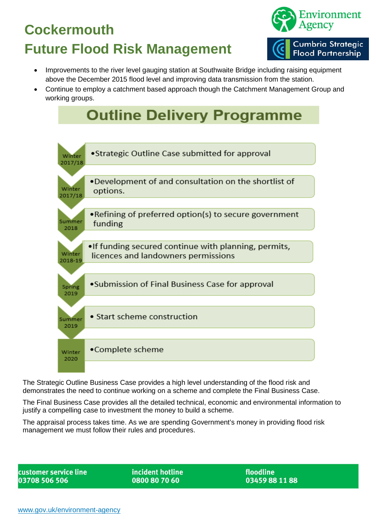

- Improvements to the river level gauging station at Southwaite Bridge including raising equipment above the December 2015 flood level and improving data transmission from the station.
- Continue to employ a catchment based approach though the Catchment Management Group and working groups.

## **Outline Delivery Programme**



The Strategic Outline Business Case provides a high level understanding of the flood risk and demonstrates the need to continue working on a scheme and complete the Final Business Case.

The Final Business Case provides all the detailed technical, economic and environmental information to justify a compelling case to investment the money to build a scheme.

The appraisal process takes time. As we are spending Government's money in providing flood risk management we must follow their rules and procedures.

customer service line 03708 506 506

incident hotline 0800 80 70 60